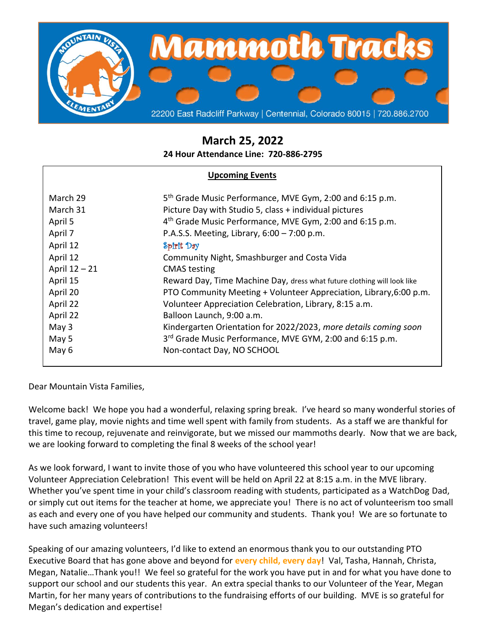

# **March 25, 2022**

**24 Hour Attendance Line: 720-886-2795**

## **Upcoming Events**

| March 29      | 5 <sup>th</sup> Grade Music Performance, MVE Gym, 2:00 and 6:15 p.m.    |
|---------------|-------------------------------------------------------------------------|
| March 31      | Picture Day with Studio 5, class + individual pictures                  |
| April 5       | 4 <sup>th</sup> Grade Music Performance, MVE Gym, 2:00 and 6:15 p.m.    |
| April 7       | P.A.S.S. Meeting, Library, $6:00 - 7:00$ p.m.                           |
| April 12      | Spirit Day                                                              |
| April 12      | Community Night, Smashburger and Costa Vida                             |
| April 12 - 21 | <b>CMAS</b> testing                                                     |
| April 15      | Reward Day, Time Machine Day, dress what future clothing will look like |
| April 20      | PTO Community Meeting + Volunteer Appreciation, Library, 6:00 p.m.      |
| April 22      | Volunteer Appreciation Celebration, Library, 8:15 a.m.                  |
| April 22      | Balloon Launch, 9:00 a.m.                                               |
| May 3         | Kindergarten Orientation for 2022/2023, more details coming soon        |
| May 5         | 3rd Grade Music Performance, MVE GYM, 2:00 and 6:15 p.m.                |
| May 6         | Non-contact Day, NO SCHOOL                                              |
|               |                                                                         |

## Dear Mountain Vista Families,

Welcome back! We hope you had a wonderful, relaxing spring break. I've heard so many wonderful stories of travel, game play, movie nights and time well spent with family from students. As a staff we are thankful for this time to recoup, rejuvenate and reinvigorate, but we missed our mammoths dearly. Now that we are back, we are looking forward to completing the final 8 weeks of the school year!

As we look forward, I want to invite those of you who have volunteered this school year to our upcoming Volunteer Appreciation Celebration! This event will be held on April 22 at 8:15 a.m. in the MVE library. Whether you've spent time in your child's classroom reading with students, participated as a WatchDog Dad, or simply cut out items for the teacher at home, we appreciate you! There is no act of volunteerism too small as each and every one of you have helped our community and students. Thank you! We are so fortunate to have such amazing volunteers!

Speaking of our amazing volunteers, I'd like to extend an enormous thank you to our outstanding PTO Executive Board that has gone above and beyond for **every child, every day**! Val, Tasha, Hannah, Christa, Megan, Natalie…Thank you!! We feel so grateful for the work you have put in and for what you have done to support our school and our students this year. An extra special thanks to our Volunteer of the Year, Megan Martin, for her many years of contributions to the fundraising efforts of our building. MVE is so grateful for Megan's dedication and expertise!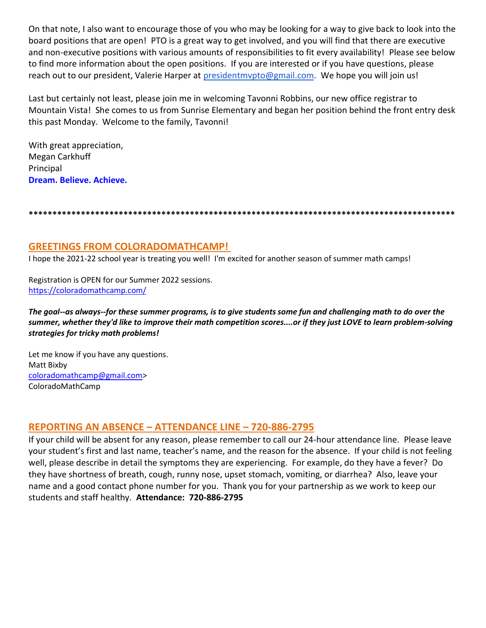On that note, I also want to encourage those of you who may be looking for a way to give back to look into the board positions that are open! PTO is a great way to get involved, and you will find that there are executive and non-executive positions with various amounts of responsibilities to fit every availability! Please see below to find more information about the open positions. If you are interested or if you have questions, please reach out to our president, Valerie Harper at [presidentmvpto@gmail.com.](mailto:presidentmvpto@gmail.com) We hope you will join us!

Last but certainly not least, please join me in welcoming Tavonni Robbins, our new office registrar to Mountain Vista! She comes to us from Sunrise Elementary and began her position behind the front entry desk this past Monday. Welcome to the family, Tavonni!

With great appreciation, Megan Carkhuff Principal **Dream. Believe. Achieve.**

**\*\*\*\*\*\*\*\*\*\*\*\*\*\*\*\*\*\*\*\*\*\*\*\*\*\*\*\*\*\*\*\*\*\*\*\*\*\*\*\*\*\*\*\*\*\*\*\*\*\*\*\*\*\*\*\*\*\*\*\*\*\*\*\*\*\*\*\*\*\*\*\*\*\*\*\*\*\*\*\*\*\*\*\*\*\*\*\*\*\***

## **GREETINGS FROM COLORADOMATHCAMP!**

I hope the 2021-22 school year is treating you well! I'm excited for another season of summer math camps!

Registration is OPEN for our Summer 2022 sessions. <https://coloradomathcamp.com/>

*The goal--as always--for these summer programs, is to give students some fun and challenging math to do over the summer, whether they'd like to improve their math competition scores....or if they just LOVE to learn problem-solving strategies for tricky math problems!*

Let me know if you have any questions. Matt Bixby [coloradomathcamp@gmail.com>](mailto:coloradomathcamp@gmail.com) ColoradoMathCamp

## **REPORTING AN ABSENCE – ATTENDANCE LINE – 720-886-2795**

If your child will be absent for any reason, please remember to call our 24-hour attendance line. Please leave your student's first and last name, teacher's name, and the reason for the absence. If your child is not feeling well, please describe in detail the symptoms they are experiencing. For example, do they have a fever? Do they have shortness of breath, cough, runny nose, upset stomach, vomiting, or diarrhea? Also, leave your name and a good contact phone number for you. Thank you for your partnership as we work to keep our students and staff healthy. **Attendance: 720-886-2795**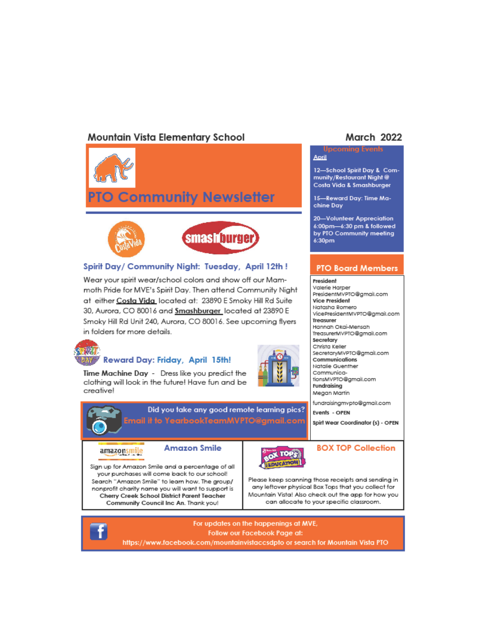# **Mountain Vista Elementary School**





### Spirit Day/ Community Night: Tuesday, April 12th!

Wear your spirit wear/school colors and show off our Mammoth Pride for MVE's Spirit Day. Then attend Community Night at either Costa Vida located at: 23890 E Smoky Hill Rd Suite 30, Aurora, CO 80016 and Smashburger located at 23890 E Smoky Hill Rd Unit 240, Aurora, CO 80016. See upcoming flyers in folders for more details.



Time Machine Day - Dress like you predict the clothing will look in the future! Have fun and be creative!

Sign up for Amazon Smile and a percentage of all your purchases will come back to our school!

Search "Amazon Smile" to learn how. The group/

nonprofit charity name you will want to support is

Cherry Creek School District Parent Teacher

Community Council Inc An. Thank you!

Reward Day: Friday, April 15th!



TII

Did you take any good remote learning pics? Email it to YearbookTeamMVPTO@gmail.com

#### amazonsmile

**Amazon Smile** 



### **BOX TOP Collection**

Please keep scanning those receipts and sending in any leftover physical Box Tops that you collect for Mountain Vista! Also check out the app for how you can allocate to your specific classroom.



For updates on the happenings at MVE, Follow our Facebook Page at:

## https://www.facebook.com/mountainvistaccsdpto or search for Mountain Vista PTO

## **March 2022**

## **Upcoming Events**

April

12-School Spirit Day & Community/Restaurant Night @ Costa Vida & Smashburger

15-Reward Day: Time Machine Day

20-Volunteer Appreciation 6:00pm-6:30 pm & followed by PTO Community meeting 6:30pm

#### **PTO Board Members**

President Valerie Harper PresidentMVPTO@gmail.com

**Vice President** Natasha Romero VicePresidentMVPTO@gmail.com Treasurer Hannah Okai-Mensah TreasurerMVPTO@gmail.com Secretary Christa Keller SecretaryMVPTO@gmail.com Communications Natalie Guenther CommunicationsMVPTO@gmail.com Fundraising Megan Martin fundraisingmvpto@gmail.com

Events - OPEN

Spirt Wear Coordinator (s) - OPEN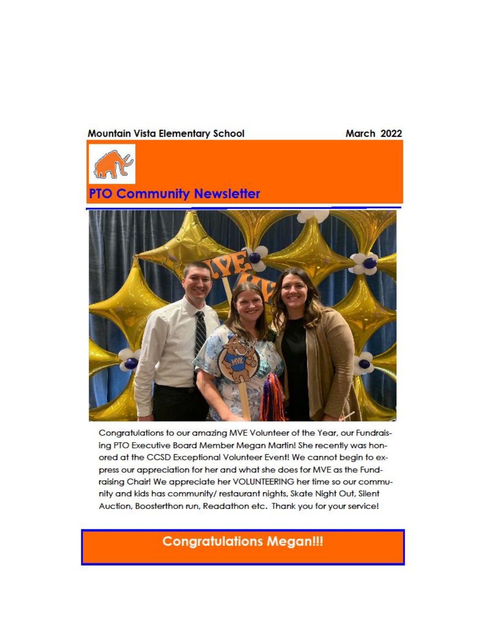## **Mountain Vista Elementary School**

**March 2022** 



# **PTO Community Newsletter**



Congratulations to our amazing MVE Volunteer of the Year, our Fundraising PTO Executive Board Member Megan Martin! She recently was honored at the CCSD Exceptional Volunteer Event! We cannot begin to express our appreciation for her and what she does for MVE as the Fundraising Chair! We appreciate her VOLUNTEERING her time so our community and kids has community/restaurant nights, Skate Night Out, Silent Auction, Boosterthon run, Readathon etc. Thank you for your service!

# **Congratulations Megan!!!**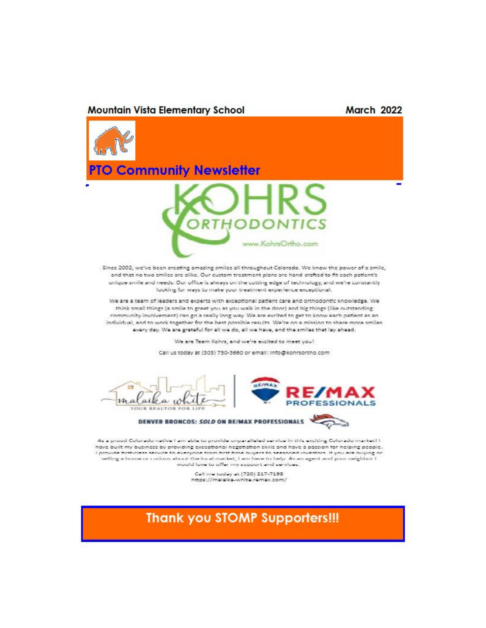#### **Mountain Vista Elementary School**

### **March 2022**



have built my business by providing exceptional negotiation skills and have a passion for helping people. I provide first-class service to everyone from first fime buyers to seasoned investors. It you are buying or selling a bome or colous about the local market, I am bene to help. As an agent and your neighbor I would love to offer my support and services.

Call me today at (720) 217-7198<br>https://malalka-white.remax.com/

# **Thank you STOMP Supporters!!!**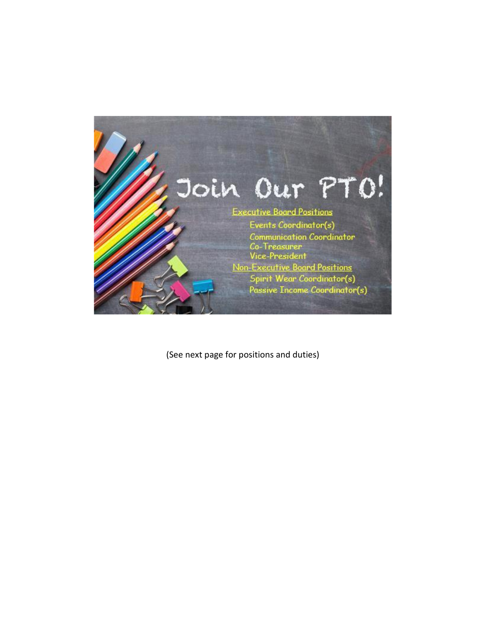

(See next page for positions and duties)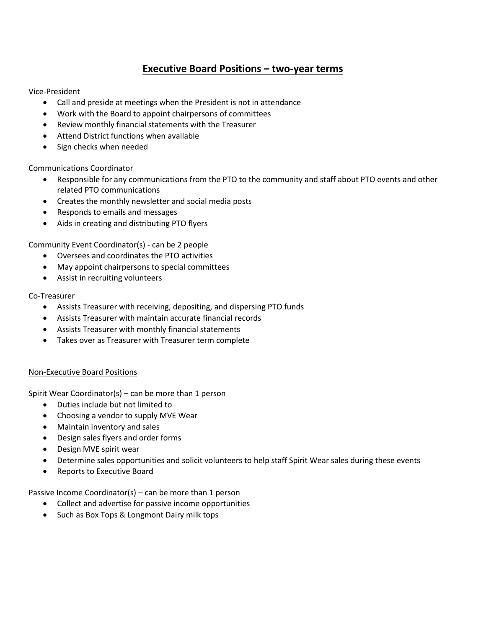# **Executive Board Positions – two-year terms**

Vice-President

- Call and preside at meetings when the President is not in attendance
- Work with the Board to appoint chairpersons of committees
- Review monthly financial statements with the Treasurer
- Attend District functions when available
- Sign checks when needed

Communications Coordinator

- Responsible for any communications from the PTO to the community and staff about PTO events and other related PTO communications
- Creates the monthly newsletter and social media posts
- Responds to emails and messages
- Aids in creating and distributing PTO flyers

Community Event Coordinator(s) - can be 2 people

- Oversees and coordinates the PTO activities
- May appoint chairpersons to special committees
- Assist in recruiting volunteers

### Co-Treasurer

- Assists Treasurer with receiving, depositing, and dispersing PTO funds
- Assists Treasurer with maintain accurate financial records
- Assists Treasurer with monthly financial statements
- Takes over as Treasurer with Treasurer term complete

## Non-Executive Board Positions

Spirit Wear Coordinator(s) – can be more than 1 person

- Duties include but not limited to
- Choosing a vendor to supply MVE Wear
- Maintain inventory and sales
- Design sales flyers and order forms
- Design MVE spirit wear
- Determine sales opportunities and solicit volunteers to help staff Spirit Wear sales during these events
- Reports to Executive Board

Passive Income Coordinator(s) – can be more than 1 person

- Collect and advertise for passive income opportunities
- Such as Box Tops & Longmont Dairy milk tops